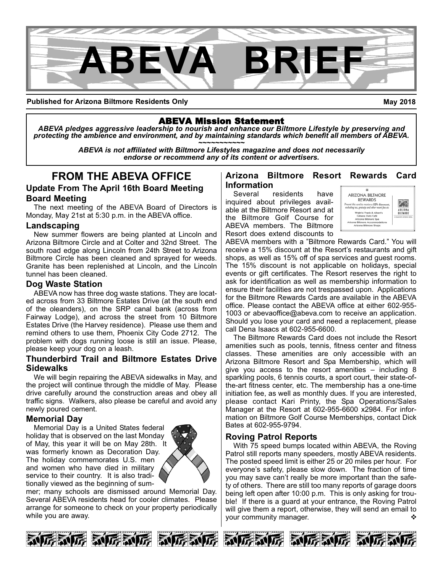

**Published for Arizona Biltmore Residents Only**

**May 2018**

### ABEVA Mission Statement

*ABEVA pledges aggressive leadership to nourish and enhance our Biltmore Lifestyle by preserving and* protecting the ambience and environment, and by maintaining standards which benefit all members of ABEVA.<br>ABEVA is not affiliated with Biltmore Lifestyles magazine and does not necessarily

*endorse or recommend any of its content or advertisers.*

# **FROM THE ABEVA OFFICE**

### **Update From The April 16th Board Meeting Board Meeting**

The next meeting of the ABEVA Board of Directors is Monday, May 21st at 5:30 p.m. in the ABEVA office.

#### **Landscaping**

New summer flowers are being planted at Lincoln and Arizona Biltmore Circle and at Colter and 32nd Street. The south road edge along Lincoln from 24th Street to Arizona Biltmore Circle has been cleaned and sprayed for weeds. Granite has been replenished at Lincoln, and the Lincoln tunnel has been cleaned.

### **Dog Waste Station**

ABEVA now has three dog waste stations. They are located across from 33 Biltmore Estates Drive (at the south end of the oleanders), on the SRP canal bank (across from Fairway Lodge), and across the street from 10 Biltmore Estates Drive (the Harvey residence). Please use them and remind others to use them, Phoenix City Code 2712. The problem with dogs running loose is still an issue. Please, please keep your dog on a leash.

#### **Thunderbird Trail and Biltmore Estates Drive Sidewalks**

We will begin repairing the ABEVA sidewalks in May, and the project will continue through the middle of May. Please drive carefully around the construction areas and obey all traffic signs. Walkers, also please be careful and avoid any newly poured cement.

### **Memorial Day**

Memorial Day is a United States federal holiday that is observed on the last Monday of May, this year it will be on May 28th. It was formerly known as Decoration Day. The holiday commemorates U.S. men and women who have died in military service to their country. It is also traditionally viewed as the beginning of sum-



mer; many schools are dismissed around Memorial Day. Several ABEVA residents head for cooler climates. Please arrange for someone to check on your property periodically while you are away.

### **Arizona Biltmore Resort Rewards Card Information**

Several residents have inquired about privileges available at the Biltmore Resort and at the Biltmore Golf Course for ABEVA members. The Biltmore Resort does extend discounts to



ABEVA members with a "Biltmore Rewards Card." You will receive a 15% discount at the Resort's restaurants and gift shops, as well as 15% off of spa services and guest rooms. The 15% discount is not applicable on holidays, special events or gift certificates. The Resort reserves the right to ask for identification as well as membership information to ensure their facilities are not trespassed upon. Applications for the Biltmore Rewards Cards are available in the ABEVA office. Please contact the ABEVA office at either 602-955-1003 or abevaoffice@abeva.com to receive an application. Should you lose your card and need a replacement, please call Dena Isaacs at 602-955-6600.

The Biltmore Rewards Card does not include the Resort amenities such as pools, tennis, fitness center and fitness classes. These amenities are only accessible with an Arizona Biltmore Resort and Spa Membership, which will give you access to the resort amenities – including 8 sparkling pools, 6 tennis courts, a sport court, their state-ofthe-art fitness center, etc. The membership has a one-time initiation fee, as well as monthly dues. If you are interested, please contact Kari Printy, the Spa Operations/Sales Manager at the Resort at 602-955-6600 x2984. For information on Biltmore Golf Course Memberships, contact Dick Bates at 602-955-9794.

### **Roving Patrol Reports**

With 75 speed bumps located within ABEVA, the Roving Patrol still reports many speeders, mostly ABEVA residents. The posted speed limit is either 25 or 20 miles per hour. For everyone's safety, please slow down. The fraction of time you may save can't really be more important than the safety of others. There are still too many reports of garage doors being left open after 10:00 p.m. This is only asking for trouble! If there is a guard at your entrance, the Roving Patrol will give them a report, otherwise, they will send an email to your community manager.  $\Diamond$ 









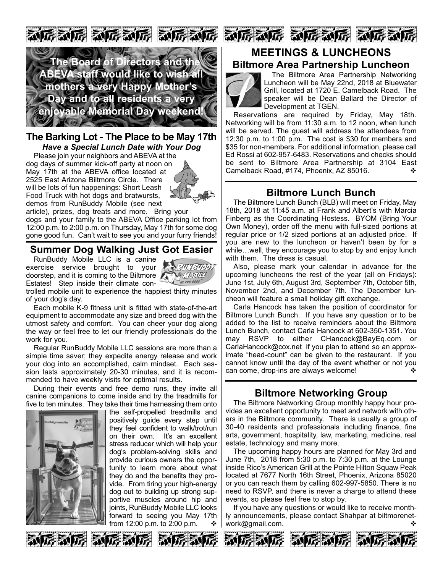

### **The Barking Lot The Place to be May 17th** *Have a Special Lunch Date with Your Dog*

Please join your neighbors and ABEVA at the dog days of summer kick-off party at noon on May 17th at the ABEVA office located at 2525 East Arizona Biltmore Circle. There will be lots of fun happenings: Short Leash Food Truck with hot dogs and bratwursts, demos from RunBuddy Mobile (see next



article), prizes, dog treats and more. Bring your dogs and your family to the ABEVA Office parking lot from 12:00 p.m. to 2:00 p.m. on Thursday, May 17th for some dog gone good fun. Can't wait to see you and your furry friends!

## **Summer Dog Walking Just Got Easier**

RunBuddy Mobile LLC is a canine exercise service brought to your doorstep, and it is coming to the Biltmore Estates! Step inside their climate con-



trolled mobile unit to experience the happiest thirty minutes of your dog's day.

Each mobile K-9 fitness unit is fitted with state-of-the-art equipment to accommodate any size and breed dog with the utmost safety and comfort. You can cheer your dog along the way or feel free to let our friendly professionals do the work for you.

Regular RunBuddy Mobile LLC sessions are more than a simple time saver; they expedite energy release and work your dog into an accomplished, calm mindset. Each session lasts approximately 20-30 minutes, and it is recommended to have weekly visits for optimal results.

During their events and free demo runs, they invite all canine companions to come inside and try the treadmills for five to ten minutes. They take their time harnessing them onto



医动房 动房动房

the self-propelled treadmills and positively guide every step until they feel confident to walk/trot/run on their own. It's an excellent stress reducer which will help your dog's problem-solving skills and provide curious owners the opportunity to learn more about what they do and the benefits they provide. From tiring your high-energy dog out to building up strong supportive muscles around hip and joints, RunBuddy Mobile LLC looks forward to seeing you May 17th from 12:00 p.m. to 2:00 p.m.  $\bullet$ 





## **MEETINGS & LUNCHEONS Biltmore Area Partnership Luncheon**



The Biltmore Area Partnership Networking Luncheon will be May 22nd, 2018 at Bluewater Grill, located at 1720 E. Camelback Road. The speaker will be Dean Ballard the Director of Development at TGEN.

Reservations are required by Friday, May 18th. Networking will be from 11:30 a.m. to 12 noon, when lunch will be served. The guest will address the attendees from 12:30 p.m. to 1:00 p.m. The cost is \$30 for members and \$35 for non-members. For additional information, please call Ed Rossi at 602-957-6483. Reservations and checks should be sent to Biltmore Area Partnership at 3104 East Camelback Road, #174, Phoenix, AZ 85016.

## **Biltmore Lunch Bunch**

The Biltmore Lunch Bunch (BLB) will meet on Friday, May 18th, 2018 at 11:45 a.m. at Frank and Albert's with Marcia Finberg as the Coordinating Hostess. BYOM (Bring Your Own Money), order off the menu with full-sized portions at regular price or 1/2 sized portions at an adjusted price. If you are new to the luncheon or haven't been by for a while…well, they encourage you to stop by and enjoy lunch with them. The dress is casual.

Also, please mark your calendar in advance for the upcoming luncheons the rest of the year (all on Fridays): June 1st, July 6th, August 3rd, September 7th, October 5th, November 2nd, and December 7th. The December luncheon will feature a small holiday gift exchange.

Carla Hancock has taken the position of coordinator for Biltmore Lunch Bunch. If you have any question or to be added to the list to receive reminders about the Biltmore Lunch Bunch, contact Carla Hancock at 602-350-1351. You may RSVP to either CHancock@BayEq.com or CarlaHancock@cox.net if you plan to attend so an approximate "head-count" can be given to the restaurant. If you cannot know until the day of the event whether or not you can come, drop-ins are always welcome!  $\cdot$ 

## **Biltmore Networking Group**

The Biltmore Networking Group monthly happy hour provides an excellent opportunity to meet and network with others in the Biltmore community. There is usually a group of 3040 residents and professionals including finance, fine arts, government, hospitality, law, marketing, medicine, real estate, technology and many more.

The upcoming happy hours are planned for May 3rd and June 7th, 2018 from 5:30 p.m. to 7:30 p.m. at the Lounge inside Rico's American Grill at the Pointe Hilton Squaw Peak located at 7677 North 16th Street, Phoenix, Arizona 85020 or you can reach them by calling 602-997-5850. There is no need to RSVP, and there is never a charge to attend these events, so please feel free to stop by.

If you have any questions or would like to receive monthly announcements, please contact Shahpar at biltmorenetwork@gmail.com.





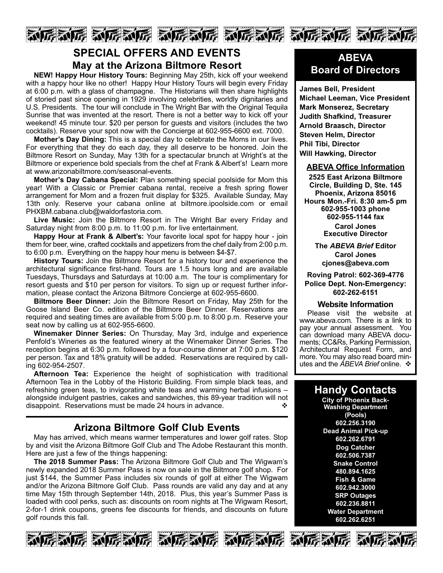

## **SPECIAL OFFERS AND EVENTS May at the Arizona Biltmore Resort**

**NEW! Happy Hour History Tours:** Beginning May 25th, kick off your weekend with a happy hour like no other! Happy Hour History Tours will begin every Friday at 6:00 p.m. with a glass of champagne. The Historians will then share highlights of storied past since opening in 1929 involving celebrities, worldly dignitaries and U.S. Presidents. The tour will conclude in The Wright Bar with the Original Tequila Sunrise that was invented at the resort. There is not a better way to kick off your weekend! 45 minute tour. \$20 per person for guests and visitors (includes the two cocktails). Reserve your spot now with the Concierge at 602-955-6600 ext. 7000.

**Mother's Day Dining:** This is a special day to celebrate the Moms in our lives. For everything that they do each day, they all deserve to be honored. Join the Biltmore Resort on Sunday, May 13th for a spectacular brunch at Wright's at the Biltmore or experience bold specials from the chef at Frank & Albert's! Learn more at www.arizonabiltmore.com/seasonal-events.

**Mother's Day Cabana Special:** Plan something special poolside for Mom this year! With a Classic or Premier cabana rental, receive a fresh spring flower arrangement for Mom and a frozen fruit display for \$325. Available Sunday, May 13th only. Reserve your cabana online at biltmore.ipoolside.com or email PHXBM.cabana.club@waldorfastoria.com.

**Live Music:** Join the Biltmore Resort in The Wright Bar every Friday and Saturday night from 8:00 p.m. to 11:00 p.m. for live entertainment.

**Happy Hour at Frank & Albert's:** Your favorite local spot for happy hour - join them for beer, wine, crafted cocktails and appetizers from the chef daily from 2:00 p.m. to 6:00 p.m. Everything on the happy hour menu is between \$4-\$7.

**History Tours:** Join the Biltmore Resort for a history tour and experience the architectural significance firsthand. Tours are 1.5 hours long and are available Tuesdays, Thursdays and Saturdays at 10:00 a.m. The tour is complimentary for resort guests and \$10 per person for visitors. To sign up or request further information, please contact the Arizona Biltmore Concierge at 602-955-6600.

**Biltmore Beer Dinner:** Join the Biltmore Resort on Friday, May 25th for the Goose Island Beer Co. edition of the Biltmore Beer Dinner. Reservations are required and seating times are available from 5:00 p.m. to 8:00 p.m. Reserve your seat now by calling us at 602-955-6600.

**Winemaker Dinner Series:** On Thursday, May 3rd, indulge and experience Penfold's Wineries as the featured winery at the Winemaker Dinner Series. The reception begins at 6:30 p.m. followed by a four-course dinner at 7:00 p.m. \$120 per person. Tax and 18% gratuity will be added. Reservations are required by calling 602-954-2507.

**Afternoon Tea:** Experience the height of sophistication with traditional Afternoon Tea in the Lobby of the Historic Building. From simple black teas, and refreshing green teas, to invigorating white teas and warming herbal infusions – alongside indulgent pastries, cakes and sandwiches, this 89-year tradition will not disappoint. Reservations must be made 24 hours in advance.

## **Arizona Biltmore Golf Club Events**

May has arrived, which means warmer temperatures and lower golf rates. Stop by and visit the Arizona Biltmore Golf Club and The Adobe Restaurant this month. Here are just a few of the things happening:

**The 2018 Summer Pass:** The Arizona Biltmore Golf Club and The Wigwam's newly expanded 2018 Summer Pass is now on sale in the Biltmore golf shop. For just \$144, the Summer Pass includes six rounds of golf at either The Wigwam and/or the Arizona Biltmore Golf Club. Pass rounds are valid any day and at any time May 15th through September 14th, 2018. Plus, this year's Summer Pass is loaded with cool perks, such as: discounts on room nights at The Wigwam Resort, 2-for-1 drink coupons, greens fee discounts for friends, and discounts on future golf rounds this fall.











**James Bell, President Michael Leeman, Vice President Mark Monserez, Secretary Judith Shafkind, Treasurer Arnold Braasch, Director Steven Helm, Director Phil Tibi, Director Will Hawking, Director**

#### **ABEVA Office Information**

**2525 East Arizona Biltmore Circle, Building D, Ste. 145 Phoenix, Arizona 85016 Hours Mon.Fri. 8:30 am5 pm 6029551003 phone 6029551144 fax Carol Jones**

**Executive Director**

**The** *ABEVA Brief* **Editor Carol Jones cjones@abeva.com**

**Roving Patrol: 6023694776 Police Dept. Non-Emergency: 6022626151**

#### **Website Information**

Please visit the website at www.abeva.com. There is a link to pay your annual assessment. You can download many ABEVA documents; CC&Rs, Parking Permission, Architectural Request Form, and more. You may also read board minutes and the *ABEVA Brief* online. ❖

## **Handy Contacts**

**City of Phoenix Back-Washing Department (Pools) 602.256.3190 Dead Animal Pick-up 602.262.6791 Dog Catcher 602.506.7387 Snake Control 480.894.1625 Fish & Game 602.942.3000 SRP Outages 602.236.8811 Water Department 602.262.6251**